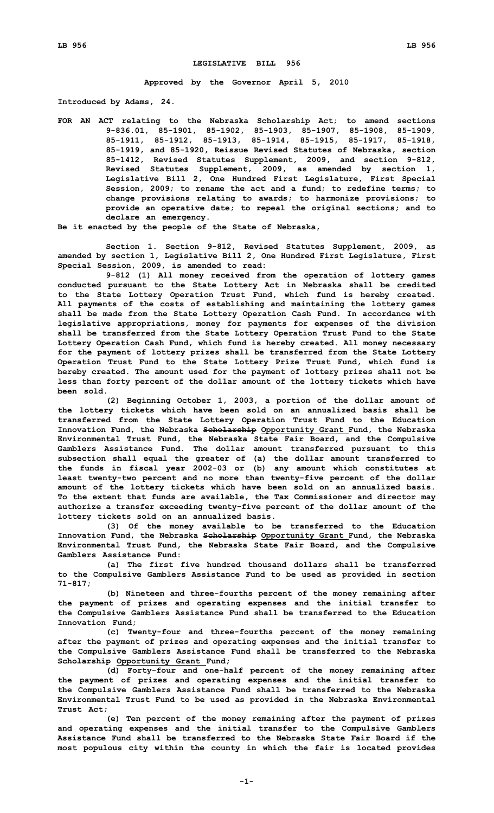## **LEGISLATIVE BILL 956**

**Approved by the Governor April 5, 2010**

**Introduced by Adams, 24.**

**FOR AN ACT relating to the Nebraska Scholarship Act; to amend sections 9-836.01, 85-1901, 85-1902, 85-1903, 85-1907, 85-1908, 85-1909, 85-1911, 85-1912, 85-1913, 85-1914, 85-1915, 85-1917, 85-1918, 85-1919, and 85-1920, Reissue Revised Statutes of Nebraska, section 85-1412, Revised Statutes Supplement, 2009, and section 9-812, Revised Statutes Supplement, 2009, as amended by section 1, Legislative Bill 2, One Hundred First Legislature, First Special Session, 2009; to rename the act and <sup>a</sup> fund; to redefine terms; to change provisions relating to awards; to harmonize provisions; to provide an operative date; to repeal the original sections; and to declare an emergency.**

**Be it enacted by the people of the State of Nebraska,**

**Section 1. Section 9-812, Revised Statutes Supplement, 2009, as amended by section 1, Legislative Bill 2, One Hundred First Legislature, First Special Session, 2009, is amended to read:**

**9-812 (1) All money received from the operation of lottery games conducted pursuant to the State Lottery Act in Nebraska shall be credited to the State Lottery Operation Trust Fund, which fund is hereby created. All payments of the costs of establishing and maintaining the lottery games shall be made from the State Lottery Operation Cash Fund. In accordance with legislative appropriations, money for payments for expenses of the division shall be transferred from the State Lottery Operation Trust Fund to the State Lottery Operation Cash Fund, which fund is hereby created. All money necessary for the payment of lottery prizes shall be transferred from the State Lottery Operation Trust Fund to the State Lottery Prize Trust Fund, which fund is hereby created. The amount used for the payment of lottery prizes shall not be less than forty percent of the dollar amount of the lottery tickets which have been sold.**

**(2) Beginning October 1, 2003, <sup>a</sup> portion of the dollar amount of the lottery tickets which have been sold on an annualized basis shall be transferred from the State Lottery Operation Trust Fund to the Education Innovation Fund, the Nebraska Scholarship Opportunity Grant Fund, the Nebraska Environmental Trust Fund, the Nebraska State Fair Board, and the Compulsive Gamblers Assistance Fund. The dollar amount transferred pursuant to this subsection shall equal the greater of (a) the dollar amount transferred to the funds in fiscal year 2002-03 or (b) any amount which constitutes at least twenty-two percent and no more than twenty-five percent of the dollar amount of the lottery tickets which have been sold on an annualized basis. To the extent that funds are available, the Tax Commissioner and director may authorize <sup>a</sup> transfer exceeding twenty-five percent of the dollar amount of the lottery tickets sold on an annualized basis.**

**(3) Of the money available to be transferred to the Education Innovation Fund, the Nebraska Scholarship Opportunity Grant Fund, the Nebraska Environmental Trust Fund, the Nebraska State Fair Board, and the Compulsive Gamblers Assistance Fund:**

**(a) The first five hundred thousand dollars shall be transferred to the Compulsive Gamblers Assistance Fund to be used as provided in section 71-817;**

**(b) Nineteen and three-fourths percent of the money remaining after the payment of prizes and operating expenses and the initial transfer to the Compulsive Gamblers Assistance Fund shall be transferred to the Education Innovation Fund;**

**(c) Twenty-four and three-fourths percent of the money remaining after the payment of prizes and operating expenses and the initial transfer to the Compulsive Gamblers Assistance Fund shall be transferred to the Nebraska Scholarship Opportunity Grant Fund;**

**(d) Forty-four and one-half percent of the money remaining after the payment of prizes and operating expenses and the initial transfer to the Compulsive Gamblers Assistance Fund shall be transferred to the Nebraska Environmental Trust Fund to be used as provided in the Nebraska Environmental Trust Act;**

**(e) Ten percent of the money remaining after the payment of prizes and operating expenses and the initial transfer to the Compulsive Gamblers Assistance Fund shall be transferred to the Nebraska State Fair Board if the most populous city within the county in which the fair is located provides**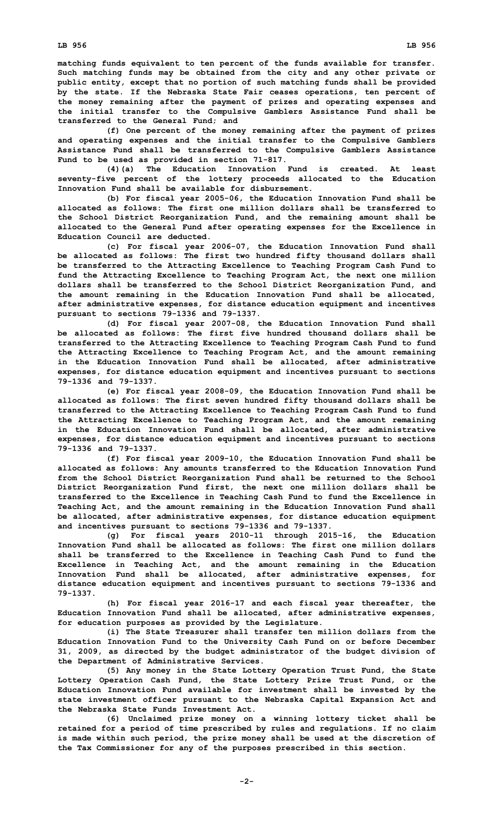**matching funds equivalent to ten percent of the funds available for transfer. Such matching funds may be obtained from the city and any other private or public entity, except that no portion of such matching funds shall be provided by the state. If the Nebraska State Fair ceases operations, ten percent of the money remaining after the payment of prizes and operating expenses and the initial transfer to the Compulsive Gamblers Assistance Fund shall be transferred to the General Fund; and**

**(f) One percent of the money remaining after the payment of prizes and operating expenses and the initial transfer to the Compulsive Gamblers Assistance Fund shall be transferred to the Compulsive Gamblers Assistance Fund to be used as provided in section 71-817.**

**(4)(a) The Education Innovation Fund is created. At least seventy-five percent of the lottery proceeds allocated to the Education Innovation Fund shall be available for disbursement.**

**(b) For fiscal year 2005-06, the Education Innovation Fund shall be allocated as follows: The first one million dollars shall be transferred to the School District Reorganization Fund, and the remaining amount shall be allocated to the General Fund after operating expenses for the Excellence in Education Council are deducted.**

**(c) For fiscal year 2006-07, the Education Innovation Fund shall be allocated as follows: The first two hundred fifty thousand dollars shall be transferred to the Attracting Excellence to Teaching Program Cash Fund to fund the Attracting Excellence to Teaching Program Act, the next one million dollars shall be transferred to the School District Reorganization Fund, and the amount remaining in the Education Innovation Fund shall be allocated, after administrative expenses, for distance education equipment and incentives pursuant to sections 79-1336 and 79-1337.**

**(d) For fiscal year 2007-08, the Education Innovation Fund shall be allocated as follows: The first five hundred thousand dollars shall be transferred to the Attracting Excellence to Teaching Program Cash Fund to fund the Attracting Excellence to Teaching Program Act, and the amount remaining in the Education Innovation Fund shall be allocated, after administrative expenses, for distance education equipment and incentives pursuant to sections 79-1336 and 79-1337.**

**(e) For fiscal year 2008-09, the Education Innovation Fund shall be allocated as follows: The first seven hundred fifty thousand dollars shall be transferred to the Attracting Excellence to Teaching Program Cash Fund to fund the Attracting Excellence to Teaching Program Act, and the amount remaining in the Education Innovation Fund shall be allocated, after administrative expenses, for distance education equipment and incentives pursuant to sections 79-1336 and 79-1337.**

**(f) For fiscal year 2009-10, the Education Innovation Fund shall be allocated as follows: Any amounts transferred to the Education Innovation Fund from the School District Reorganization Fund shall be returned to the School District Reorganization Fund first, the next one million dollars shall be transferred to the Excellence in Teaching Cash Fund to fund the Excellence in Teaching Act, and the amount remaining in the Education Innovation Fund shall be allocated, after administrative expenses, for distance education equipment and incentives pursuant to sections 79-1336 and 79-1337.**

**(g) For fiscal years 2010-11 through 2015-16, the Education Innovation Fund shall be allocated as follows: The first one million dollars shall be transferred to the Excellence in Teaching Cash Fund to fund the Excellence in Teaching Act, and the amount remaining in the Education Innovation Fund shall be allocated, after administrative expenses, for distance education equipment and incentives pursuant to sections 79-1336 and 79-1337.**

**(h) For fiscal year 2016-17 and each fiscal year thereafter, the Education Innovation Fund shall be allocated, after administrative expenses, for education purposes as provided by the Legislature.**

**(i) The State Treasurer shall transfer ten million dollars from the Education Innovation Fund to the University Cash Fund on or before December 31, 2009, as directed by the budget administrator of the budget division of the Department of Administrative Services.**

**(5) Any money in the State Lottery Operation Trust Fund, the State Lottery Operation Cash Fund, the State Lottery Prize Trust Fund, or the Education Innovation Fund available for investment shall be invested by the state investment officer pursuant to the Nebraska Capital Expansion Act and the Nebraska State Funds Investment Act.**

**(6) Unclaimed prize money on <sup>a</sup> winning lottery ticket shall be retained for <sup>a</sup> period of time prescribed by rules and regulations. If no claim is made within such period, the prize money shall be used at the discretion of the Tax Commissioner for any of the purposes prescribed in this section.**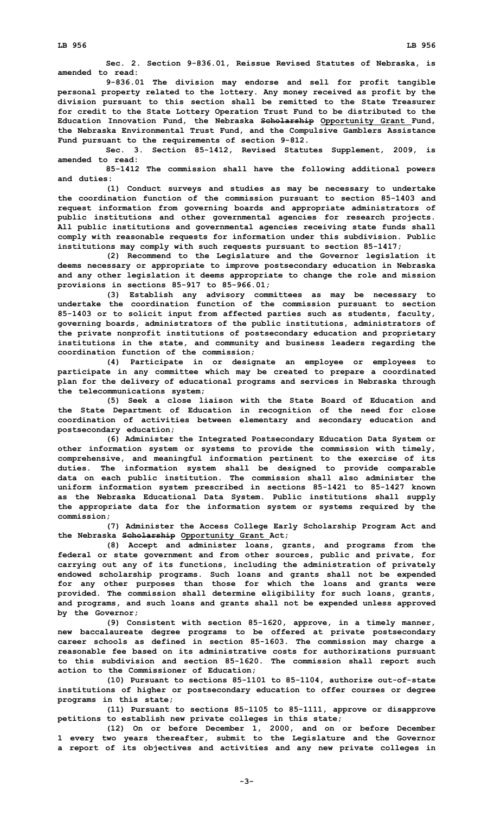**Sec. 2. Section 9-836.01, Reissue Revised Statutes of Nebraska, is amended to read:**

**9-836.01 The division may endorse and sell for profit tangible personal property related to the lottery. Any money received as profit by the division pursuant to this section shall be remitted to the State Treasurer for credit to the State Lottery Operation Trust Fund to be distributed to the Education Innovation Fund, the Nebraska Scholarship Opportunity Grant Fund, the Nebraska Environmental Trust Fund, and the Compulsive Gamblers Assistance Fund pursuant to the requirements of section 9-812.**

**Sec. 3. Section 85-1412, Revised Statutes Supplement, 2009, is amended to read:**

**85-1412 The commission shall have the following additional powers and duties:**

**(1) Conduct surveys and studies as may be necessary to undertake the coordination function of the commission pursuant to section 85-1403 and request information from governing boards and appropriate administrators of public institutions and other governmental agencies for research projects. All public institutions and governmental agencies receiving state funds shall comply with reasonable requests for information under this subdivision. Public institutions may comply with such requests pursuant to section 85-1417;**

**(2) Recommend to the Legislature and the Governor legislation it deems necessary or appropriate to improve postsecondary education in Nebraska and any other legislation it deems appropriate to change the role and mission provisions in sections 85-917 to 85-966.01;**

**(3) Establish any advisory committees as may be necessary to undertake the coordination function of the commission pursuant to section 85-1403 or to solicit input from affected parties such as students, faculty, governing boards, administrators of the public institutions, administrators of the private nonprofit institutions of postsecondary education and proprietary institutions in the state, and community and business leaders regarding the coordination function of the commission;**

**(4) Participate in or designate an employee or employees to participate in any committee which may be created to prepare <sup>a</sup> coordinated plan for the delivery of educational programs and services in Nebraska through the telecommunications system;**

**(5) Seek <sup>a</sup> close liaison with the State Board of Education and the State Department of Education in recognition of the need for close coordination of activities between elementary and secondary education and postsecondary education;**

**(6) Administer the Integrated Postsecondary Education Data System or other information system or systems to provide the commission with timely, comprehensive, and meaningful information pertinent to the exercise of its duties. The information system shall be designed to provide comparable data on each public institution. The commission shall also administer the uniform information system prescribed in sections 85-1421 to 85-1427 known as the Nebraska Educational Data System. Public institutions shall supply the appropriate data for the information system or systems required by the commission;**

**(7) Administer the Access College Early Scholarship Program Act and the Nebraska Scholarship Opportunity Grant Act;**

**(8) Accept and administer loans, grants, and programs from the federal or state government and from other sources, public and private, for carrying out any of its functions, including the administration of privately endowed scholarship programs. Such loans and grants shall not be expended for any other purposes than those for which the loans and grants were provided. The commission shall determine eligibility for such loans, grants, and programs, and such loans and grants shall not be expended unless approved by the Governor;**

**(9) Consistent with section 85-1620, approve, in <sup>a</sup> timely manner, new baccalaureate degree programs to be offered at private postsecondary career schools as defined in section 85-1603. The commission may charge <sup>a</sup> reasonable fee based on its administrative costs for authorizations pursuant to this subdivision and section 85-1620. The commission shall report such action to the Commissioner of Education;**

**(10) Pursuant to sections 85-1101 to 85-1104, authorize out-of-state institutions of higher or postsecondary education to offer courses or degree programs in this state;**

**(11) Pursuant to sections 85-1105 to 85-1111, approve or disapprove petitions to establish new private colleges in this state;**

**(12) On or before December 1, 2000, and on or before December 1 every two years thereafter, submit to the Legislature and the Governor <sup>a</sup> report of its objectives and activities and any new private colleges in**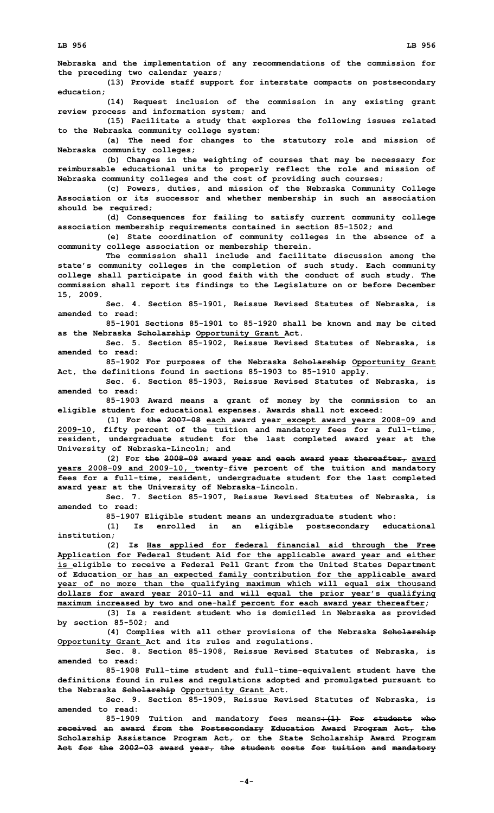**Nebraska and the implementation of any recommendations of the commission for the preceding two calendar years;**

**(13) Provide staff support for interstate compacts on postsecondary education;**

**(14) Request inclusion of the commission in any existing grant review process and information system; and**

**(15) Facilitate <sup>a</sup> study that explores the following issues related to the Nebraska community college system:**

**(a) The need for changes to the statutory role and mission of Nebraska community colleges;**

**(b) Changes in the weighting of courses that may be necessary for reimbursable educational units to properly reflect the role and mission of Nebraska community colleges and the cost of providing such courses;**

**(c) Powers, duties, and mission of the Nebraska Community College Association or its successor and whether membership in such an association should be required;**

**(d) Consequences for failing to satisfy current community college association membership requirements contained in section 85-1502; and**

**(e) State coordination of community colleges in the absence of <sup>a</sup> community college association or membership therein.**

**The commission shall include and facilitate discussion among the state's community colleges in the completion of such study. Each community college shall participate in good faith with the conduct of such study. The commission shall report its findings to the Legislature on or before December 15, 2009.**

**Sec. 4. Section 85-1901, Reissue Revised Statutes of Nebraska, is amended to read:**

**85-1901 Sections 85-1901 to 85-1920 shall be known and may be cited as the Nebraska Scholarship Opportunity Grant Act.**

**Sec. 5. Section 85-1902, Reissue Revised Statutes of Nebraska, is amended to read:**

**85-1902 For purposes of the Nebraska Scholarship Opportunity Grant Act, the definitions found in sections 85-1903 to 85-1910 apply.**

**Sec. 6. Section 85-1903, Reissue Revised Statutes of Nebraska, is amended to read:**

**85-1903 Award means <sup>a</sup> grant of money by the commission to an eligible student for educational expenses. Awards shall not exceed:**

**(1) For the 2007-08 each award year except award years 2008-09 and 2009-10, fifty percent of the tuition and mandatory fees for <sup>a</sup> full-time, resident, undergraduate student for the last completed award year at the University of Nebraska-Lincoln; and**

**(2) For the 2008-09 award year and each award year thereafter, award years 2008-09 and 2009-10, twenty-five percent of the tuition and mandatory fees for <sup>a</sup> full-time, resident, undergraduate student for the last completed award year at the University of Nebraska-Lincoln.**

**Sec. 7. Section 85-1907, Reissue Revised Statutes of Nebraska, is amended to read:**

**85-1907 Eligible student means an undergraduate student who:**

**(1) Is enrolled in an eligible postsecondary educational institution;**

**(2) Is Has applied for federal financial aid through the Free Application for Federal Student Aid for the applicable award year and either is eligible to receive <sup>a</sup> Federal Pell Grant from the United States Department of Education or has an expected family contribution for the applicable award year of no more than the qualifying maximum which will equal six thousand dollars for award year 2010-11 and will equal the prior year's qualifying maximum increased by two and one-half percent for each award year thereafter;**

**(3) Is <sup>a</sup> resident student who is domiciled in Nebraska as provided by section 85-502; and**

**(4) Complies with all other provisions of the Nebraska Scholarship Opportunity Grant Act and its rules and regulations.**

**Sec. 8. Section 85-1908, Reissue Revised Statutes of Nebraska, is amended to read:**

**85-1908 Full-time student and full-time-equivalent student have the definitions found in rules and regulations adopted and promulgated pursuant to the Nebraska Scholarship Opportunity Grant Act.**

**Sec. 9. Section 85-1909, Reissue Revised Statutes of Nebraska, is amended to read:**

**85-1909 Tuition and mandatory fees means:(1) For students who received an award from the Postsecondary Education Award Program Act, the Scholarship Assistance Program Act, or the State Scholarship Award Program Act for the 2002-03 award year, the student costs for tuition and mandatory**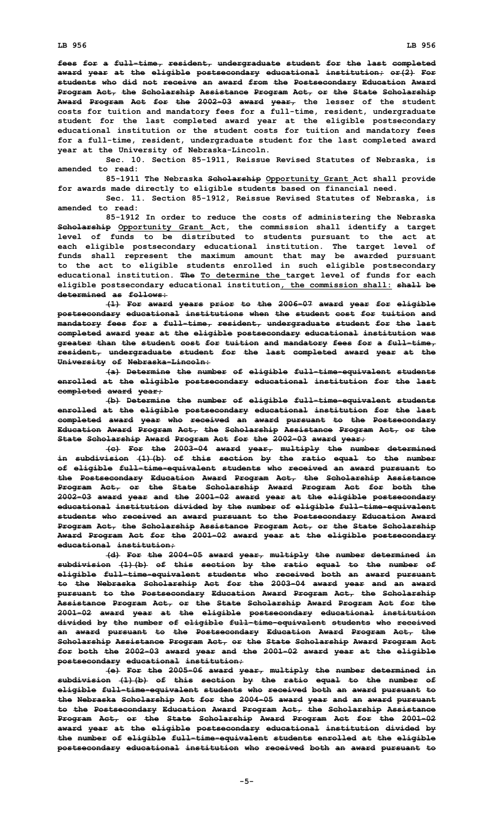**fees for <sup>a</sup> full-time, resident, undergraduate student for the last completed award year at the eligible postsecondary educational institution; or(2) For students who did not receive an award from the Postsecondary Education Award Program Act, the Scholarship Assistance Program Act, or the State Scholarship Award Program Act for the 2002-03 award year, the lesser of the student costs for tuition and mandatory fees for <sup>a</sup> full-time, resident, undergraduate student for the last completed award year at the eligible postsecondary educational institution or the student costs for tuition and mandatory fees for <sup>a</sup> full-time, resident, undergraduate student for the last completed award year at the University of Nebraska-Lincoln.**

**Sec. 10. Section 85-1911, Reissue Revised Statutes of Nebraska, is amended to read:**

**85-1911 The Nebraska Scholarship Opportunity Grant Act shall provide for awards made directly to eligible students based on financial need.**

**Sec. 11. Section 85-1912, Reissue Revised Statutes of Nebraska, is amended to read:**

**85-1912 In order to reduce the costs of administering the Nebraska Scholarship Opportunity Grant Act, the commission shall identify <sup>a</sup> target level of funds to be distributed to students pursuant to the act at each eligible postsecondary educational institution. The target level of funds shall represent the maximum amount that may be awarded pursuant to the act to eligible students enrolled in such eligible postsecondary educational institution. The To determine the target level of funds for each eligible postsecondary educational institution, the commission shall: shall be determined as follows:**

**(1) For award years prior to the 2006-07 award year for eligible postsecondary educational institutions when the student cost for tuition and mandatory fees for <sup>a</sup> full-time, resident, undergraduate student for the last completed award year at the eligible postsecondary educational institution was greater than the student cost for tuition and mandatory fees for <sup>a</sup> full-time, resident, undergraduate student for the last completed award year at the University of Nebraska-Lincoln:**

**(a) Determine the number of eligible full-time-equivalent students enrolled at the eligible postsecondary educational institution for the last completed award year;**

**(b) Determine the number of eligible full-time-equivalent students enrolled at the eligible postsecondary educational institution for the last completed award year who received an award pursuant to the Postsecondary Education Award Program Act, the Scholarship Assistance Program Act, or the State Scholarship Award Program Act for the 2002-03 award year;**

**(c) For the 2003-04 award year, multiply the number determined in subdivision (1)(b) of this section by the ratio equal to the number of eligible full-time-equivalent students who received an award pursuant to the Postsecondary Education Award Program Act, the Scholarship Assistance Program Act, or the State Scholarship Award Program Act for both the 2002-03 award year and the 2001-02 award year at the eligible postsecondary educational institution divided by the number of eligible full-time-equivalent students who received an award pursuant to the Postsecondary Education Award Program Act, the Scholarship Assistance Program Act, or the State Scholarship Award Program Act for the 2001-02 award year at the eligible postsecondary educational institution;**

**(d) For the 2004-05 award year, multiply the number determined in subdivision (1)(b) of this section by the ratio equal to the number of eligible full-time-equivalent students who received both an award pursuant to the Nebraska Scholarship Act for the 2003-04 award year and an award pursuant to the Postsecondary Education Award Program Act, the Scholarship Assistance Program Act, or the State Scholarship Award Program Act for the 2001-02 award year at the eligible postsecondary educational institution divided by the number of eligible full-time-equivalent students who received an award pursuant to the Postsecondary Education Award Program Act, the Scholarship Assistance Program Act, or the State Scholarship Award Program Act for both the 2002-03 award year and the 2001-02 award year at the eligible postsecondary educational institution;**

**(e) For the 2005-06 award year, multiply the number determined in subdivision (1)(b) of this section by the ratio equal to the number of eligible full-time-equivalent students who received both an award pursuant to the Nebraska Scholarship Act for the 2004-05 award year and an award pursuant to the Postsecondary Education Award Program Act, the Scholarship Assistance Program Act, or the State Scholarship Award Program Act for the 2001-02 award year at the eligible postsecondary educational institution divided by the number of eligible full-time-equivalent students enrolled at the eligible postsecondary educational institution who received both an award pursuant to**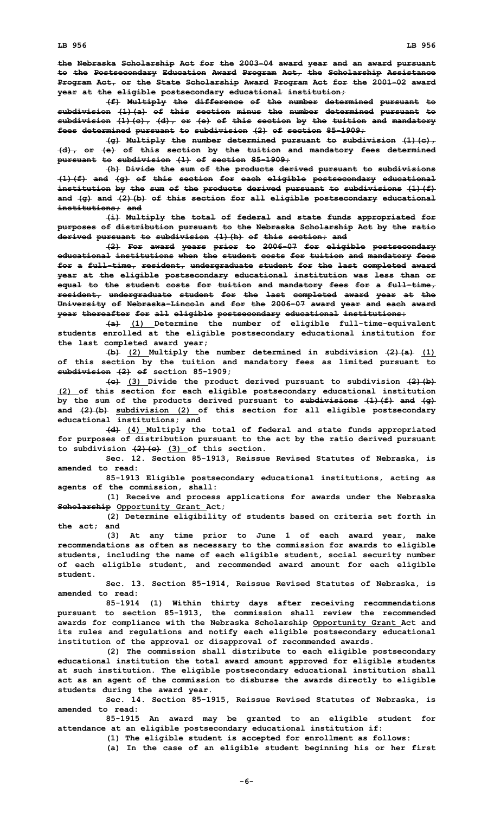**the Nebraska Scholarship Act for the 2003-04 award year and an award pursuant to the Postsecondary Education Award Program Act, the Scholarship Assistance Program Act, or the State Scholarship Award Program Act for the 2001-02 award year at the eligible postsecondary educational institution;**

**(f) Multiply the difference of the number determined pursuant to subdivision (1)(a) of this section minus the number determined pursuant to subdivision (1)(c), (d), or (e) of this section by the tuition and mandatory fees determined pursuant to subdivision (2) of section 85-1909;**

**(g) Multiply the number determined pursuant to subdivision (1)(c), (d), or (e) of this section by the tuition and mandatory fees determined pursuant to subdivision (1) of section 85-1909;**

**(h) Divide the sum of the products derived pursuant to subdivisions (1)(f) and (g) of this section for each eligible postsecondary educational institution by the sum of the products derived pursuant to subdivisions (1)(f) and (g) and (2)(b) of this section for all eligible postsecondary educational institutions; and**

**(i) Multiply the total of federal and state funds appropriated for purposes of distribution pursuant to the Nebraska Scholarship Act by the ratio derived pursuant to subdivision (1)(h) of this section; and**

**(2) For award years prior to 2006-07 for eligible postsecondary educational institutions when the student costs for tuition and mandatory fees for <sup>a</sup> full-time, resident, undergraduate student for the last completed award year at the eligible postsecondary educational institution was less than or equal to the student costs for tuition and mandatory fees for <sup>a</sup> full-time, resident, undergraduate student for the last completed award year at the University of Nebraska-Lincoln and for the 2006-07 award year and each award year thereafter for all eligible postsecondary educational institutions:**

**(a) (1) Determine the number of eligible full-time-equivalent students enrolled at the eligible postsecondary educational institution for the last completed award year;**

**(b) (2) Multiply the number determined in subdivision (2)(a) (1) of this section by the tuition and mandatory fees as limited pursuant to subdivision (2) of section 85-1909;**

**(c) (3) Divide the product derived pursuant to subdivision (2)(b) (2) of this section for each eligible postsecondary educational institution by the sum of the products derived pursuant to subdivisions (1)(f) and (g) and (2)(b) subdivision (2) of this section for all eligible postsecondary educational institutions; and**

**(d) (4) Multiply the total of federal and state funds appropriated for purposes of distribution pursuant to the act by the ratio derived pursuant to subdivision (2)(c) (3) of this section.**

**Sec. 12. Section 85-1913, Reissue Revised Statutes of Nebraska, is amended to read:**

**85-1913 Eligible postsecondary educational institutions, acting as agents of the commission, shall:**

**(1) Receive and process applications for awards under the Nebraska Scholarship Opportunity Grant Act;**

**(2) Determine eligibility of students based on criteria set forth in the act; and**

**(3) At any time prior to June 1 of each award year, make recommendations as often as necessary to the commission for awards to eligible students, including the name of each eligible student, social security number of each eligible student, and recommended award amount for each eligible student.**

**Sec. 13. Section 85-1914, Reissue Revised Statutes of Nebraska, is amended to read:**

**85-1914 (1) Within thirty days after receiving recommendations pursuant to section 85-1913, the commission shall review the recommended awards for compliance with the Nebraska Scholarship Opportunity Grant Act and its rules and regulations and notify each eligible postsecondary educational institution of the approval or disapproval of recommended awards.**

**(2) The commission shall distribute to each eligible postsecondary educational institution the total award amount approved for eligible students at such institution. The eligible postsecondary educational institution shall act as an agent of the commission to disburse the awards directly to eligible students during the award year.**

**Sec. 14. Section 85-1915, Reissue Revised Statutes of Nebraska, is amended to read:**

**85-1915 An award may be granted to an eligible student for attendance at an eligible postsecondary educational institution if:**

**(1) The eligible student is accepted for enrollment as follows:**

**(a) In the case of an eligible student beginning his or her first**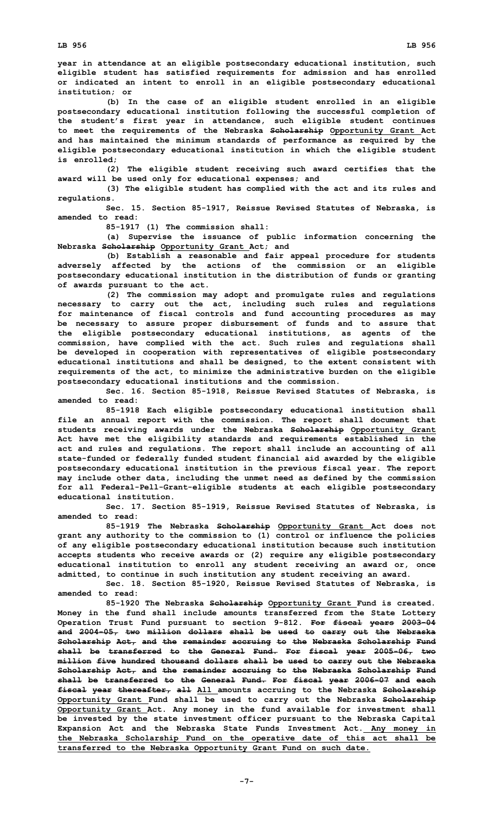**year in attendance at an eligible postsecondary educational institution, such eligible student has satisfied requirements for admission and has enrolled or indicated an intent to enroll in an eligible postsecondary educational institution; or**

**(b) In the case of an eligible student enrolled in an eligible postsecondary educational institution following the successful completion of the student's first year in attendance, such eligible student continues to meet the requirements of the Nebraska Scholarship Opportunity Grant Act and has maintained the minimum standards of performance as required by the eligible postsecondary educational institution in which the eligible student is enrolled;**

**(2) The eligible student receiving such award certifies that the award will be used only for educational expenses; and**

**(3) The eligible student has complied with the act and its rules and regulations.**

**Sec. 15. Section 85-1917, Reissue Revised Statutes of Nebraska, is amended to read:**

**85-1917 (1) The commission shall:**

**(a) Supervise the issuance of public information concerning the Nebraska Scholarship Opportunity Grant Act; and**

**(b) Establish <sup>a</sup> reasonable and fair appeal procedure for students adversely affected by the actions of the commission or an eligible postsecondary educational institution in the distribution of funds or granting of awards pursuant to the act.**

**(2) The commission may adopt and promulgate rules and regulations necessary to carry out the act, including such rules and regulations for maintenance of fiscal controls and fund accounting procedures as may be necessary to assure proper disbursement of funds and to assure that the eligible postsecondary educational institutions, as agents of the commission, have complied with the act. Such rules and regulations shall be developed in cooperation with representatives of eligible postsecondary educational institutions and shall be designed, to the extent consistent with requirements of the act, to minimize the administrative burden on the eligible postsecondary educational institutions and the commission.**

**Sec. 16. Section 85-1918, Reissue Revised Statutes of Nebraska, is amended to read:**

**85-1918 Each eligible postsecondary educational institution shall file an annual report with the commission. The report shall document that students receiving awards under the Nebraska Scholarship Opportunity Grant Act have met the eligibility standards and requirements established in the act and rules and regulations. The report shall include an accounting of all state-funded or federally funded student financial aid awarded by the eligible postsecondary educational institution in the previous fiscal year. The report may include other data, including the unmet need as defined by the commission for all Federal-Pell-Grant-eligible students at each eligible postsecondary educational institution.**

**Sec. 17. Section 85-1919, Reissue Revised Statutes of Nebraska, is amended to read:**

**85-1919 The Nebraska Scholarship Opportunity Grant Act does not grant any authority to the commission to (1) control or influence the policies of any eligible postsecondary educational institution because such institution accepts students who receive awards or (2) require any eligible postsecondary educational institution to enroll any student receiving an award or, once admitted, to continue in such institution any student receiving an award.**

**Sec. 18. Section 85-1920, Reissue Revised Statutes of Nebraska, is amended to read:**

**85-1920 The Nebraska Scholarship Opportunity Grant Fund is created. Money in the fund shall include amounts transferred from the State Lottery Operation Trust Fund pursuant to section 9-812. For fiscal years 2003-04 and 2004-05, two million dollars shall be used to carry out the Nebraska Scholarship Act, and the remainder accruing to the Nebraska Scholarship Fund shall be transferred to the General Fund. For fiscal year 2005-06, two million five hundred thousand dollars shall be used to carry out the Nebraska Scholarship Act, and the remainder accruing to the Nebraska Scholarship Fund shall be transferred to the General Fund. For fiscal year 2006-07 and each fiscal year thereafter, all All amounts accruing to the Nebraska Scholarship Opportunity Grant Fund shall be used to carry out the Nebraska Scholarship Opportunity Grant Act. Any money in the fund available for investment shall be invested by the state investment officer pursuant to the Nebraska Capital Expansion Act and the Nebraska State Funds Investment Act. Any money in the Nebraska Scholarship Fund on the operative date of this act shall be transferred to the Nebraska Opportunity Grant Fund on such date.**